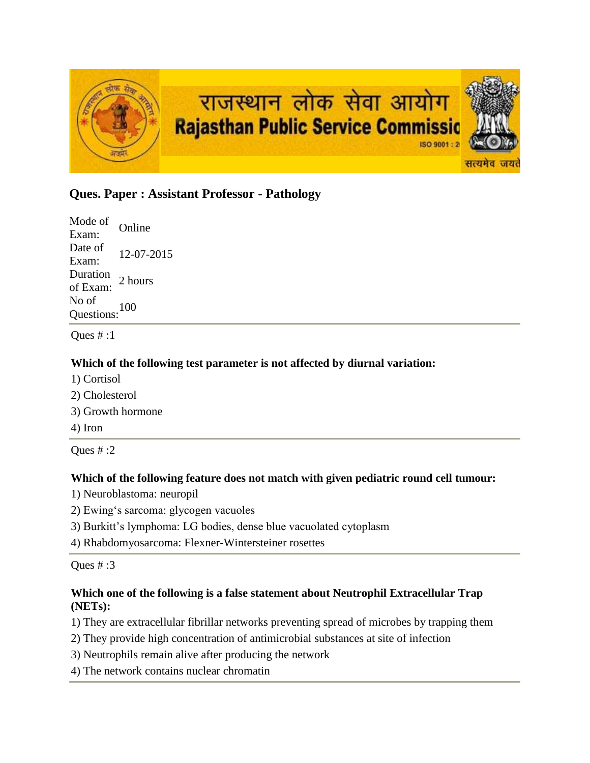

# **Ques. Paper : Assistant Professor - Pathology**

Mode of Exam: Online Date of  $\frac{\text{Date of}}{\text{Exam:}}$  12-07-2015 Duration<br>of Exam: 2 hours No of Questions:<sup>100</sup>

Ques  $#:1$ 

# **Which of the following test parameter is not affected by diurnal variation:**

- 1) Cortisol
- 2) Cholesterol
- 3) Growth hormone
- 4) Iron

Ques  $\#$  :2

#### **Which of the following feature does not match with given pediatric round cell tumour:**

- 1) Neuroblastoma: neuropil
- 2) Ewing's sarcoma: glycogen vacuoles
- 3) Burkitt's lymphoma: LG bodies, dense blue vacuolated cytoplasm
- 4) Rhabdomyosarcoma: Flexner-Wintersteiner rosettes

Ques # :3

# **Which one of the following is a false statement about Neutrophil Extracellular Trap (NETs):**

1) They are extracellular fibrillar networks preventing spread of microbes by trapping them

- 2) They provide high concentration of antimicrobial substances at site of infection
- 3) Neutrophils remain alive after producing the network
- 4) The network contains nuclear chromatin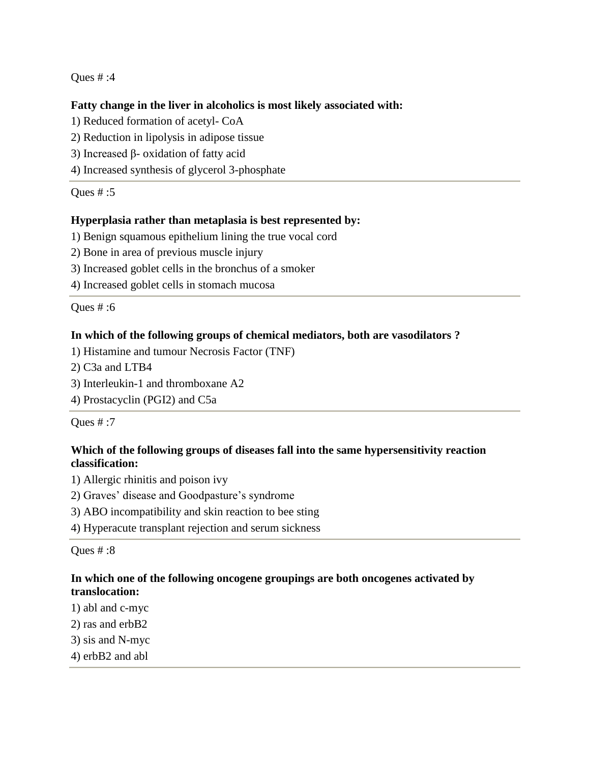#### **Fatty change in the liver in alcoholics is most likely associated with:**

- 1) Reduced formation of acetyl- CoA
- 2) Reduction in lipolysis in adipose tissue
- 3) Increased β- oxidation of fatty acid
- 4) Increased synthesis of glycerol 3-phosphate

Ques # :5

## **Hyperplasia rather than metaplasia is best represented by:**

- 1) Benign squamous epithelium lining the true vocal cord
- 2) Bone in area of previous muscle injury
- 3) Increased goblet cells in the bronchus of a smoker
- 4) Increased goblet cells in stomach mucosa

Ques # :6

## **In which of the following groups of chemical mediators, both are vasodilators ?**

- 1) Histamine and tumour Necrosis Factor (TNF)
- 2) C3a and LTB4
- 3) Interleukin-1 and thromboxane A2
- 4) Prostacyclin (PGI2) and C5a

Ques # :7

# **Which of the following groups of diseases fall into the same hypersensitivity reaction classification:**

- 1) Allergic rhinitis and poison ivy
- 2) Graves' disease and Goodpasture's syndrome
- 3) ABO incompatibility and skin reaction to bee sting
- 4) Hyperacute transplant rejection and serum sickness

Ques # :8

## **In which one of the following oncogene groupings are both oncogenes activated by translocation:**

- 1) abl and c-myc
- 2) ras and erbB2
- 3) sis and N-myc
- 4) erbB2 and abl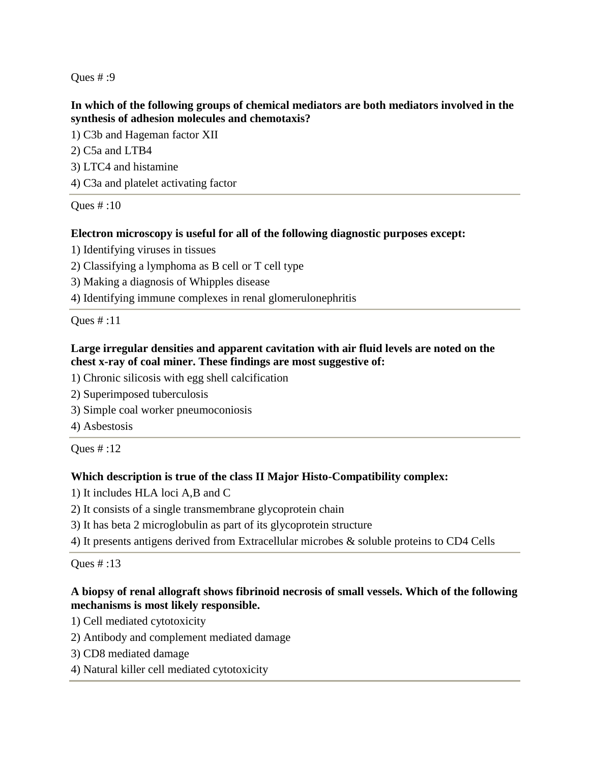## **In which of the following groups of chemical mediators are both mediators involved in the synthesis of adhesion molecules and chemotaxis?**

1) C3b and Hageman factor XII

- 2) C5a and LTB4
- 3) LTC4 and histamine
- 4) C3a and platelet activating factor

Ques # :10

# **Electron microscopy is useful for all of the following diagnostic purposes except:**

- 1) Identifying viruses in tissues
- 2) Classifying a lymphoma as B cell or T cell type
- 3) Making a diagnosis of Whipples disease
- 4) Identifying immune complexes in renal glomerulonephritis

Ques # :11

## **Large irregular densities and apparent cavitation with air fluid levels are noted on the chest x-ray of coal miner. These findings are most suggestive of:**

- 1) Chronic silicosis with egg shell calcification
- 2) Superimposed tuberculosis
- 3) Simple coal worker pneumoconiosis
- 4) Asbestosis

Ques # :12

# **Which description is true of the class II Major Histo-Compatibility complex:**

- 1) It includes HLA loci A,B and C
- 2) It consists of a single transmembrane glycoprotein chain
- 3) It has beta 2 microglobulin as part of its glycoprotein structure
- 4) It presents antigens derived from Extracellular microbes & soluble proteins to CD4 Cells

Ques # :13

# **A biopsy of renal allograft shows fibrinoid necrosis of small vessels. Which of the following mechanisms is most likely responsible.**

- 1) Cell mediated cytotoxicity
- 2) Antibody and complement mediated damage
- 3) CD8 mediated damage
- 4) Natural killer cell mediated cytotoxicity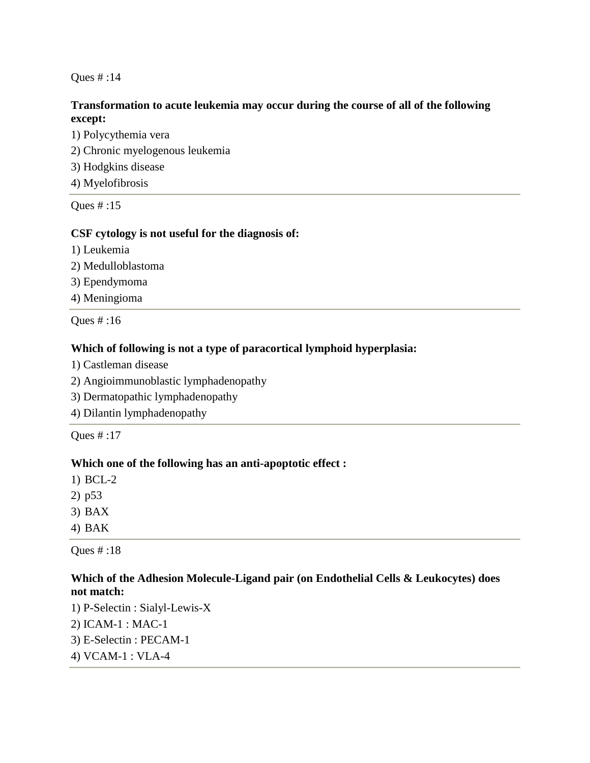## **Transformation to acute leukemia may occur during the course of all of the following except:**

1) Polycythemia vera 2) Chronic myelogenous leukemia 3) Hodgkins disease 4) Myelofibrosis

Ques # :15

## **CSF cytology is not useful for the diagnosis of:**

- 1) Leukemia
- 2) Medulloblastoma
- 3) Ependymoma
- 4) Meningioma

Ques # :16

# **Which of following is not a type of paracortical lymphoid hyperplasia:**

- 1) Castleman disease
- 2) Angioimmunoblastic lymphadenopathy
- 3) Dermatopathic lymphadenopathy
- 4) Dilantin lymphadenopathy

Ques # :17

# **Which one of the following has an anti-apoptotic effect :**

- 1) BCL-2
- 2) p53
- 3) BAX
- 4) BAK

Ques # :18

# **Which of the Adhesion Molecule-Ligand pair (on Endothelial Cells & Leukocytes) does not match:**

1) P-Selectin : Sialyl-Lewis-X 2) ICAM-1 : MAC-1 3) E-Selectin : PECAM-1 4) VCAM-1 : VLA-4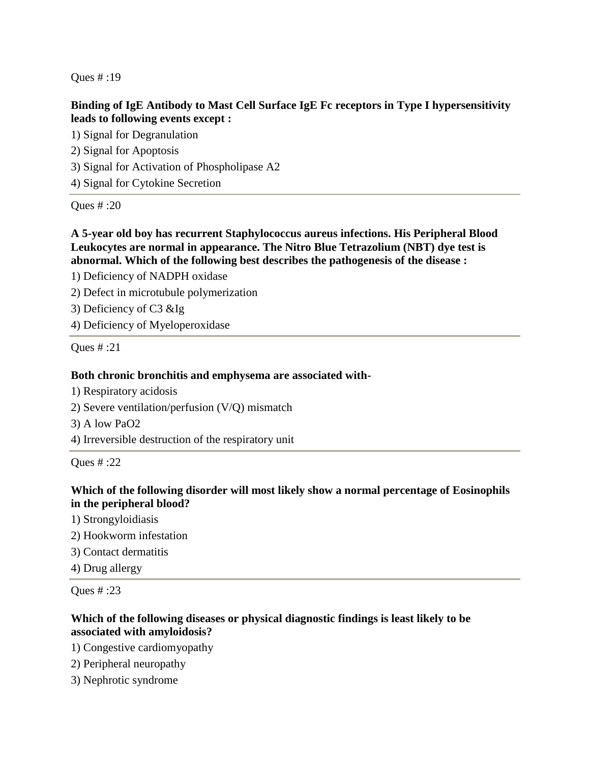# **Binding of IgE Antibody to Mast Cell Surface IgE Fc receptors in Type I hypersensitivity leads to following events except :**

1) Signal for Degranulation 2) Signal for Apoptosis 3) Signal for Activation of Phospholipase A2 4) Signal for Cytokine Secretion

Ques # :20

**A 5-year old boy has recurrent Staphylococcus aureus infections. His Peripheral Blood Leukocytes are normal in appearance. The Nitro Blue Tetrazolium (NBT) dye test is abnormal. Which of the following best describes the pathogenesis of the disease :**

1) Deficiency of NADPH oxidase

2) Defect in microtubule polymerization

3) Deficiency of C3 &Ig

4) Deficiency of Myeloperoxidase

Ques # :21

#### **Both chronic bronchitis and emphysema are associated with-**

1) Respiratory acidosis

- 2) Severe ventilation/perfusion (V/Q) mismatch
- 3) A low PaO2
- 4) Irreversible destruction of the respiratory unit

Ques # :22

## **Which of the following disorder will most likely show a normal percentage of Eosinophils in the peripheral blood?**

- 1) Strongyloidiasis
- 2) Hookworm infestation
- 3) Contact dermatitis
- 4) Drug allergy

Ques # :23

# **Which of the following diseases or physical diagnostic findings is least likely to be associated with amyloidosis?**

- 1) Congestive cardiomyopathy
- 2) Peripheral neuropathy
- 3) Nephrotic syndrome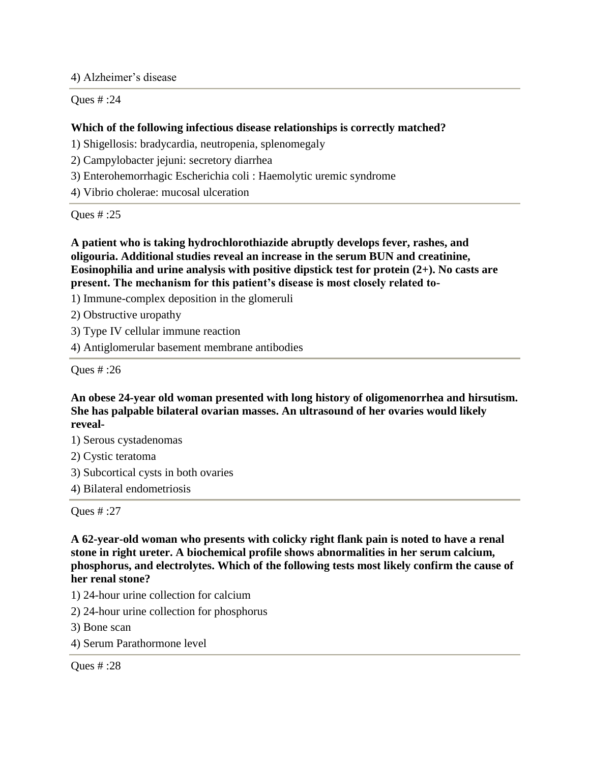4) Alzheimer's disease

Ques # :24

# **Which of the following infectious disease relationships is correctly matched?**

- 1) Shigellosis: bradycardia, neutropenia, splenomegaly
- 2) Campylobacter jejuni: secretory diarrhea
- 3) Enterohemorrhagic Escherichia coli : Haemolytic uremic syndrome
- 4) Vibrio cholerae: mucosal ulceration

Ques # :25

**A patient who is taking hydrochlorothiazide abruptly develops fever, rashes, and oligouria. Additional studies reveal an increase in the serum BUN and creatinine, Eosinophilia and urine analysis with positive dipstick test for protein (2+). No casts are present. The mechanism for this patient's disease is most closely related to-**

1) Immune-complex deposition in the glomeruli

- 2) Obstructive uropathy
- 3) Type IV cellular immune reaction

4) Antiglomerular basement membrane antibodies

Ques # :26

## **An obese 24-year old woman presented with long history of oligomenorrhea and hirsutism. She has palpable bilateral ovarian masses. An ultrasound of her ovaries would likely reveal-**

- 1) Serous cystadenomas
- 2) Cystic teratoma
- 3) Subcortical cysts in both ovaries
- 4) Bilateral endometriosis

Ques # :27

**A 62-year-old woman who presents with colicky right flank pain is noted to have a renal stone in right ureter. A biochemical profile shows abnormalities in her serum calcium, phosphorus, and electrolytes. Which of the following tests most likely confirm the cause of her renal stone?**

- 1) 24-hour urine collection for calcium
- 2) 24-hour urine collection for phosphorus
- 3) Bone scan
- 4) Serum Parathormone level

Ques # :28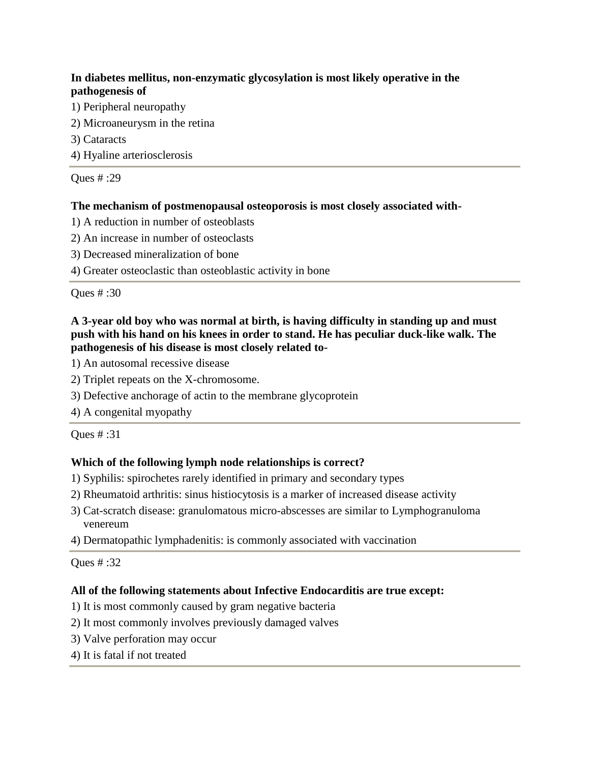# **In diabetes mellitus, non-enzymatic glycosylation is most likely operative in the pathogenesis of**

- 1) Peripheral neuropathy
- 2) Microaneurysm in the retina
- 3) Cataracts
- 4) Hyaline arteriosclerosis

Ques # :29

# **The mechanism of postmenopausal osteoporosis is most closely associated with-**

- 1) A reduction in number of osteoblasts
- 2) An increase in number of osteoclasts
- 3) Decreased mineralization of bone
- 4) Greater osteoclastic than osteoblastic activity in bone

Ques # :30

# **A 3-year old boy who was normal at birth, is having difficulty in standing up and must push with his hand on his knees in order to stand. He has peculiar duck-like walk. The pathogenesis of his disease is most closely related to-**

1) An autosomal recessive disease

- 2) Triplet repeats on the X-chromosome.
- 3) Defective anchorage of actin to the membrane glycoprotein
- 4) A congenital myopathy

Ques # :31

# **Which of the following lymph node relationships is correct?**

- 1) Syphilis: spirochetes rarely identified in primary and secondary types
- 2) Rheumatoid arthritis: sinus histiocytosis is a marker of increased disease activity
- 3) Cat-scratch disease: granulomatous micro-abscesses are similar to Lymphogranuloma venereum
- 4) Dermatopathic lymphadenitis: is commonly associated with vaccination

Ques # :32

# **All of the following statements about Infective Endocarditis are true except:**

- 1) It is most commonly caused by gram negative bacteria
- 2) It most commonly involves previously damaged valves
- 3) Valve perforation may occur
- 4) It is fatal if not treated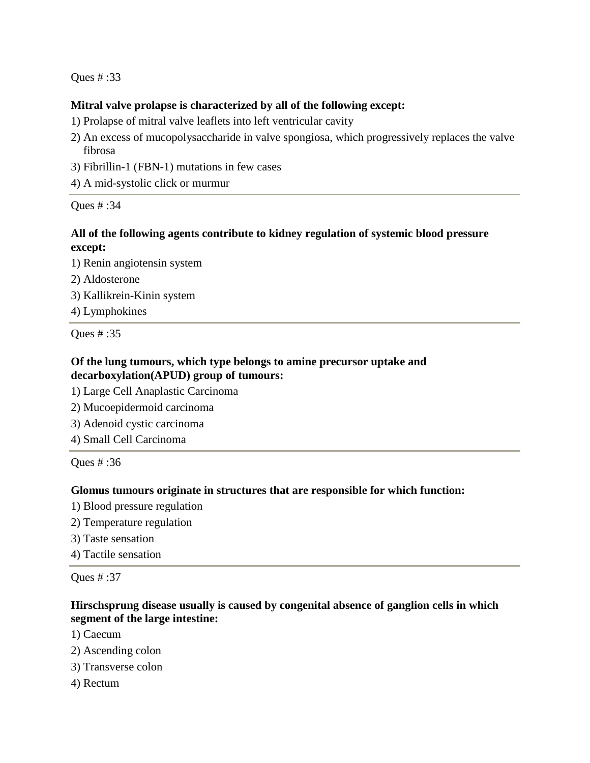#### **Mitral valve prolapse is characterized by all of the following except:**

- 1) Prolapse of mitral valve leaflets into left ventricular cavity
- 2) An excess of mucopolysaccharide in valve spongiosa, which progressively replaces the valve fibrosa
- 3) Fibrillin-1 (FBN-1) mutations in few cases
- 4) A mid-systolic click or murmur

Ques # :34

## **All of the following agents contribute to kidney regulation of systemic blood pressure except:**

1) Renin angiotensin system

- 2) Aldosterone
- 3) Kallikrein-Kinin system
- 4) Lymphokines

Ques # :35

## **Of the lung tumours, which type belongs to amine precursor uptake and decarboxylation(APUD) group of tumours:**

- 1) Large Cell Anaplastic Carcinoma
- 2) Mucoepidermoid carcinoma
- 3) Adenoid cystic carcinoma
- 4) Small Cell Carcinoma

Ques # :36

#### **Glomus tumours originate in structures that are responsible for which function:**

- 1) Blood pressure regulation
- 2) Temperature regulation
- 3) Taste sensation
- 4) Tactile sensation

Ques # :37

## **Hirschsprung disease usually is caused by congenital absence of ganglion cells in which segment of the large intestine:**

- 1) Caecum
- 2) Ascending colon
- 3) Transverse colon
- 4) Rectum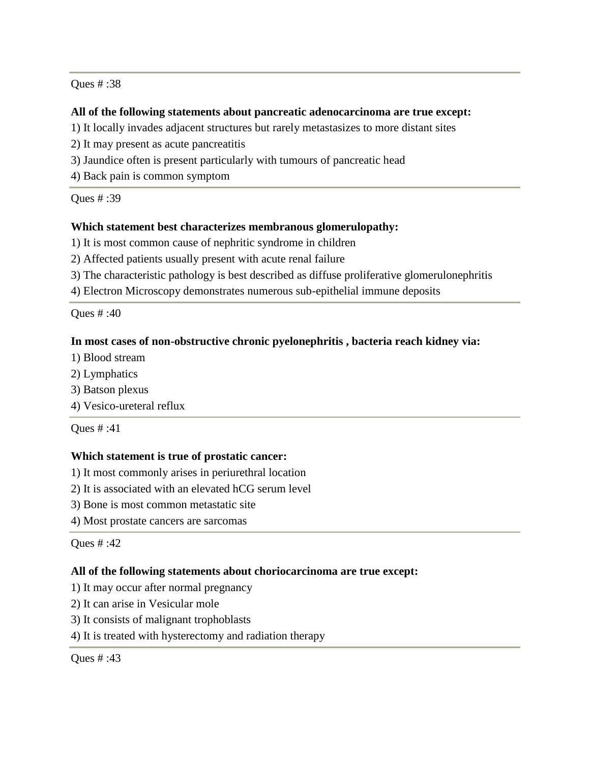#### **All of the following statements about pancreatic adenocarcinoma are true except:**

- 1) It locally invades adjacent structures but rarely metastasizes to more distant sites
- 2) It may present as acute pancreatitis
- 3) Jaundice often is present particularly with tumours of pancreatic head
- 4) Back pain is common symptom

Ques # :39

#### **Which statement best characterizes membranous glomerulopathy:**

- 1) It is most common cause of nephritic syndrome in children
- 2) Affected patients usually present with acute renal failure
- 3) The characteristic pathology is best described as diffuse proliferative glomerulonephritis
- 4) Electron Microscopy demonstrates numerous sub-epithelial immune deposits

Ques # :40

#### **In most cases of non-obstructive chronic pyelonephritis , bacteria reach kidney via:**

- 1) Blood stream
- 2) Lymphatics
- 3) Batson plexus
- 4) Vesico-ureteral reflux

Ques # :41

#### **Which statement is true of prostatic cancer:**

- 1) It most commonly arises in periurethral location
- 2) It is associated with an elevated hCG serum level
- 3) Bone is most common metastatic site
- 4) Most prostate cancers are sarcomas

#### Ques # :42

#### **All of the following statements about choriocarcinoma are true except:**

- 1) It may occur after normal pregnancy
- 2) It can arise in Vesicular mole
- 3) It consists of malignant trophoblasts
- 4) It is treated with hysterectomy and radiation therapy

#### Ques # :43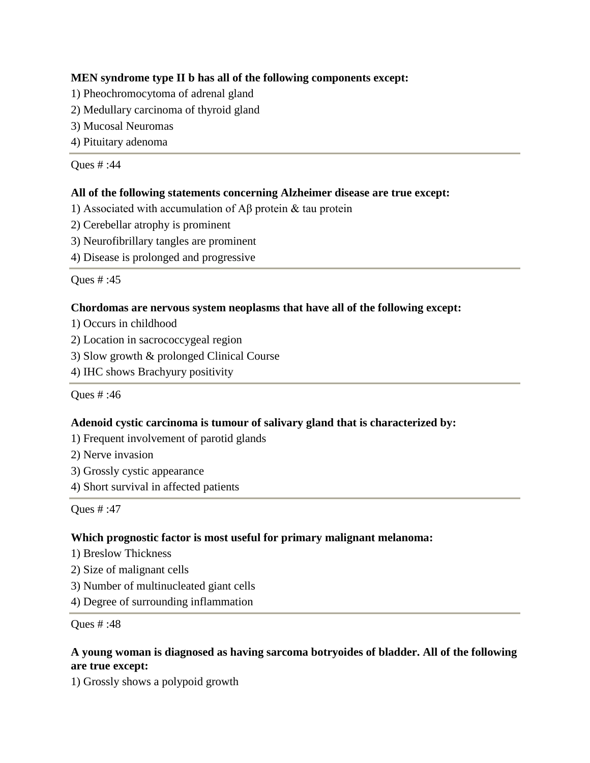# **MEN syndrome type II b has all of the following components except:**

- 1) Pheochromocytoma of adrenal gland
- 2) Medullary carcinoma of thyroid gland
- 3) Mucosal Neuromas
- 4) Pituitary adenoma

Ques # :44

# **All of the following statements concerning Alzheimer disease are true except:**

- 1) Associated with accumulation of Aβ protein & tau protein
- 2) Cerebellar atrophy is prominent
- 3) Neurofibrillary tangles are prominent
- 4) Disease is prolonged and progressive

Ques # :45

# **Chordomas are nervous system neoplasms that have all of the following except:**

- 1) Occurs in childhood
- 2) Location in sacrococcygeal region
- 3) Slow growth & prolonged Clinical Course
- 4) IHC shows Brachyury positivity

Ques # :46

# **Adenoid cystic carcinoma is tumour of salivary gland that is characterized by:**

- 1) Frequent involvement of parotid glands
- 2) Nerve invasion
- 3) Grossly cystic appearance
- 4) Short survival in affected patients

Ques # :47

# **Which prognostic factor is most useful for primary malignant melanoma:**

- 1) Breslow Thickness
- 2) Size of malignant cells
- 3) Number of multinucleated giant cells
- 4) Degree of surrounding inflammation

Ques # :48

# **A young woman is diagnosed as having sarcoma botryoides of bladder. All of the following are true except:**

1) Grossly shows a polypoid growth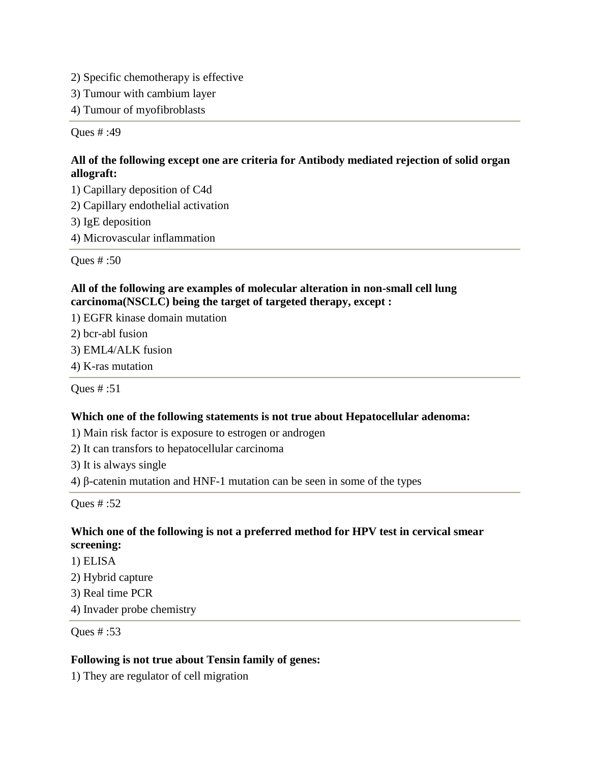- 2) Specific chemotherapy is effective
- 3) Tumour with cambium layer
- 4) Tumour of myofibroblasts

# **All of the following except one are criteria for Antibody mediated rejection of solid organ allograft:**

- 1) Capillary deposition of C4d
- 2) Capillary endothelial activation
- 3) IgE deposition
- 4) Microvascular inflammation

Ques # :50

# **All of the following are examples of molecular alteration in non-small cell lung carcinoma(NSCLC) being the target of targeted therapy, except :**

1) EGFR kinase domain mutation

2) bcr-abl fusion

3) EML4/ALK fusion

4) K-ras mutation

Ques # :51

# **Which one of the following statements is not true about Hepatocellular adenoma:**

- 1) Main risk factor is exposure to estrogen or androgen
- 2) It can transfors to hepatocellular carcinoma

3) It is always single

4) β-catenin mutation and HNF-1 mutation can be seen in some of the types

Ques # :52

## **Which one of the following is not a preferred method for HPV test in cervical smear screening:**

- 1) ELISA
- 2) Hybrid capture
- 3) Real time PCR

4) Invader probe chemistry

Ques # :53

# **Following is not true about Tensin family of genes:**

1) They are regulator of cell migration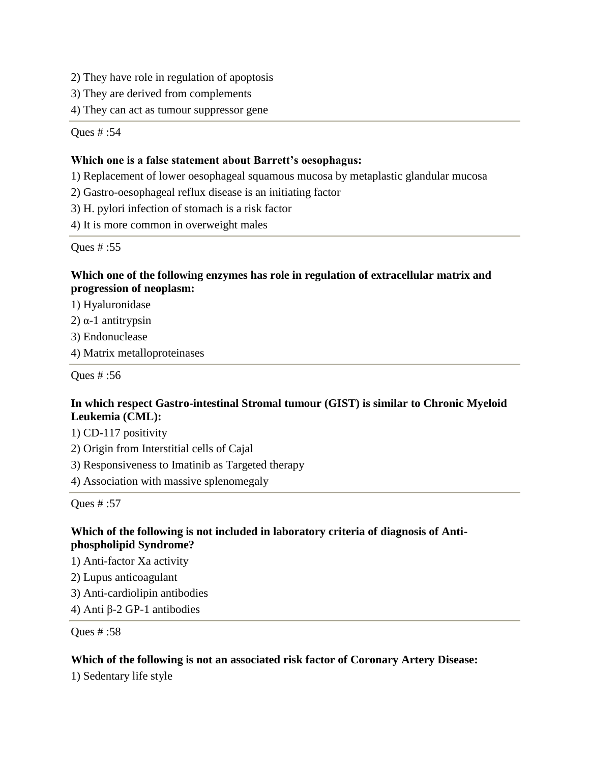2) They have role in regulation of apoptosis

3) They are derived from complements

4) They can act as tumour suppressor gene

Ques # :54

#### **Which one is a false statement about Barrett's oesophagus:**

1) Replacement of lower oesophageal squamous mucosa by metaplastic glandular mucosa

2) Gastro-oesophageal reflux disease is an initiating factor

3) H. pylori infection of stomach is a risk factor

4) It is more common in overweight males

Ques # :55

## **Which one of the following enzymes has role in regulation of extracellular matrix and progression of neoplasm:**

1) Hyaluronidase

2) α-1 antitrypsin

3) Endonuclease

4) Matrix metalloproteinases

Ques # :56

## **In which respect Gastro-intestinal Stromal tumour (GIST) is similar to Chronic Myeloid Leukemia (CML):**

1) CD-117 positivity

2) Origin from Interstitial cells of Cajal

3) Responsiveness to Imatinib as Targeted therapy

4) Association with massive splenomegaly

Ques # :57

## **Which of the following is not included in laboratory criteria of diagnosis of Antiphospholipid Syndrome?**

1) Anti-factor Xa activity

2) Lupus anticoagulant

3) Anti-cardiolipin antibodies

4) Anti β-2 GP-1 antibodies

Ques # :58

#### **Which of the following is not an associated risk factor of Coronary Artery Disease:**

1) Sedentary life style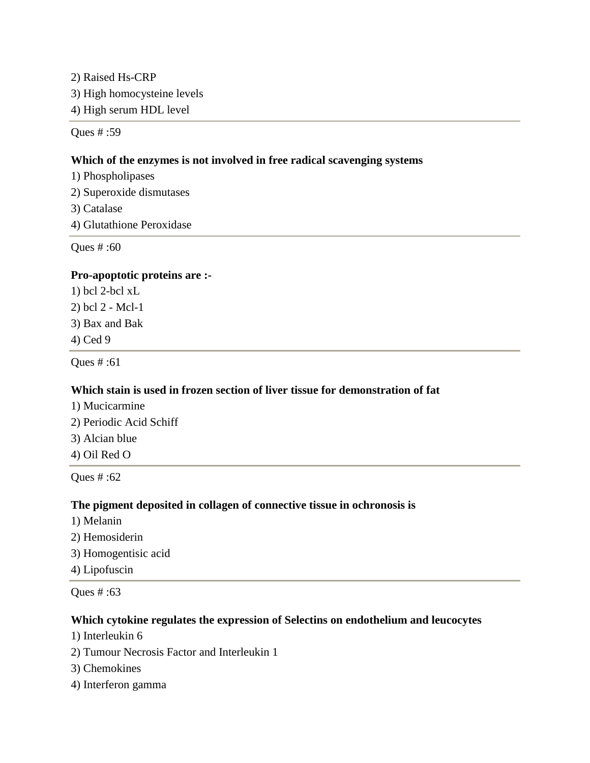2) Raised Hs-CRP 3) High homocysteine levels 4) High serum HDL level

Ques # :59

## **Which of the enzymes is not involved in free radical scavenging systems**

1) Phospholipases 2) Superoxide dismutases 3) Catalase

4) Glutathione Peroxidase

Ques # :60

## **Pro-apoptotic proteins are :-**

1) bcl 2-bcl xL 2) bcl 2 - Mcl-1 3) Bax and Bak 4) Ced 9

Ques # :61

# **Which stain is used in frozen section of liver tissue for demonstration of fat**

1) Mucicarmine

2) Periodic Acid Schiff

- 3) Alcian blue
- 4) Oil Red O

Ques # :62

# **The pigment deposited in collagen of connective tissue in ochronosis is**

- 1) Melanin
- 2) Hemosiderin
- 3) Homogentisic acid

4) Lipofuscin

Ques # :63

# **Which cytokine regulates the expression of Selectins on endothelium and leucocytes**

- 1) Interleukin 6
- 2) Tumour Necrosis Factor and Interleukin 1
- 3) Chemokines
- 4) Interferon gamma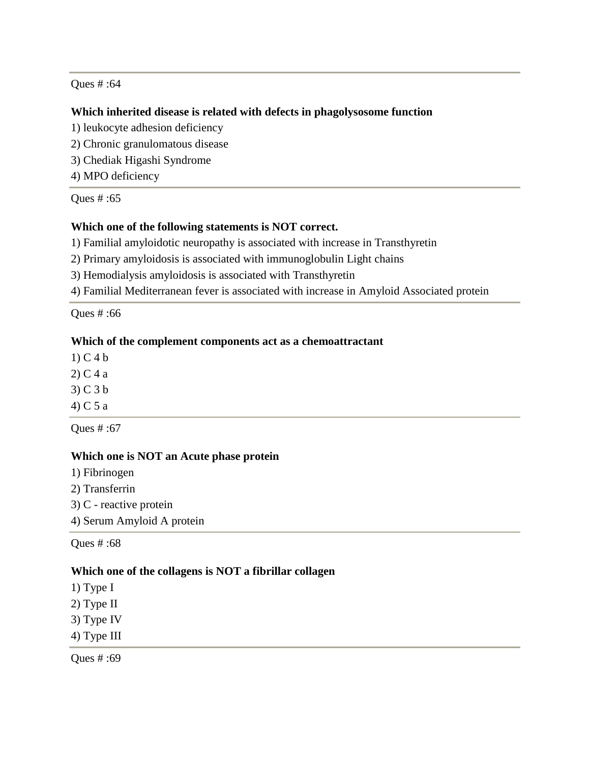#### **Which inherited disease is related with defects in phagolysosome function**

- 1) leukocyte adhesion deficiency
- 2) Chronic granulomatous disease
- 3) Chediak Higashi Syndrome
- 4) MPO deficiency

Ques # :65

#### **Which one of the following statements is NOT correct.**

1) Familial amyloidotic neuropathy is associated with increase in Transthyretin

2) Primary amyloidosis is associated with immunoglobulin Light chains

3) Hemodialysis amyloidosis is associated with Transthyretin

4) Familial Mediterranean fever is associated with increase in Amyloid Associated protein

Ques # :66

#### **Which of the complement components act as a chemoattractant**

- 1) C 4 b
- 2) C 4 a
- 3) C 3 b
- 4) C 5 a

Ques # :67

#### **Which one is NOT an Acute phase protein**

- 1) Fibrinogen
- 2) Transferrin
- 3) C reactive protein
- 4) Serum Amyloid A protein

Ques # :68

#### **Which one of the collagens is NOT a fibrillar collagen**

1) Type I

- 2) Type II
- 3) Type IV
- 4) Type III

Ques # :69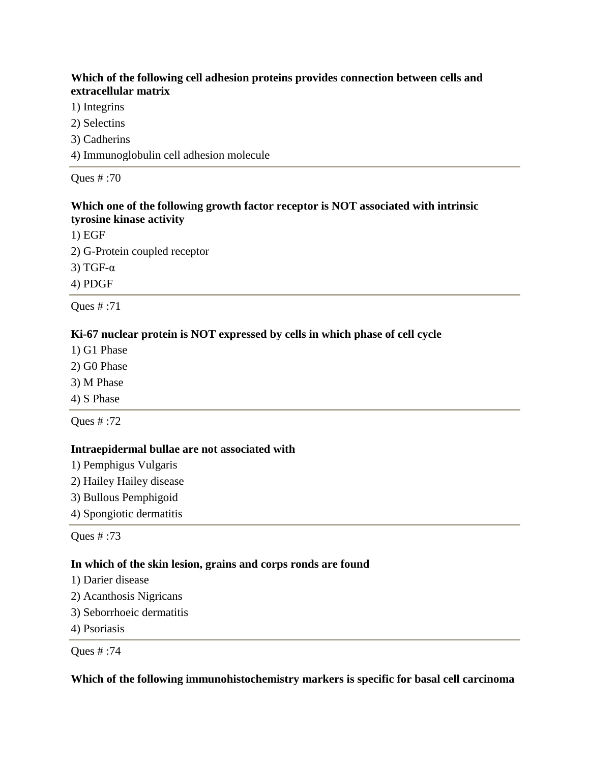# **Which of the following cell adhesion proteins provides connection between cells and extracellular matrix**

- 1) Integrins
- 2) Selectins
- 3) Cadherins
- 4) Immunoglobulin cell adhesion molecule

Ques # :70

# **Which one of the following growth factor receptor is NOT associated with intrinsic tyrosine kinase activity**

1) EGF 2) G-Protein coupled receptor 3) TGF-α 4) PDGF

Ques # :71

# **Ki-67 nuclear protein is NOT expressed by cells in which phase of cell cycle**

- 1) G1 Phase
- 2) G0 Phase
- 3) M Phase
- 4) S Phase

Ques # :72

# **Intraepidermal bullae are not associated with**

- 1) Pemphigus Vulgaris
- 2) Hailey Hailey disease
- 3) Bullous Pemphigoid
- 4) Spongiotic dermatitis

Ques # :73

# **In which of the skin lesion, grains and corps ronds are found**

- 1) Darier disease
- 2) Acanthosis Nigricans
- 3) Seborrhoeic dermatitis
- 4) Psoriasis

Ques # :74

**Which of the following immunohistochemistry markers is specific for basal cell carcinoma**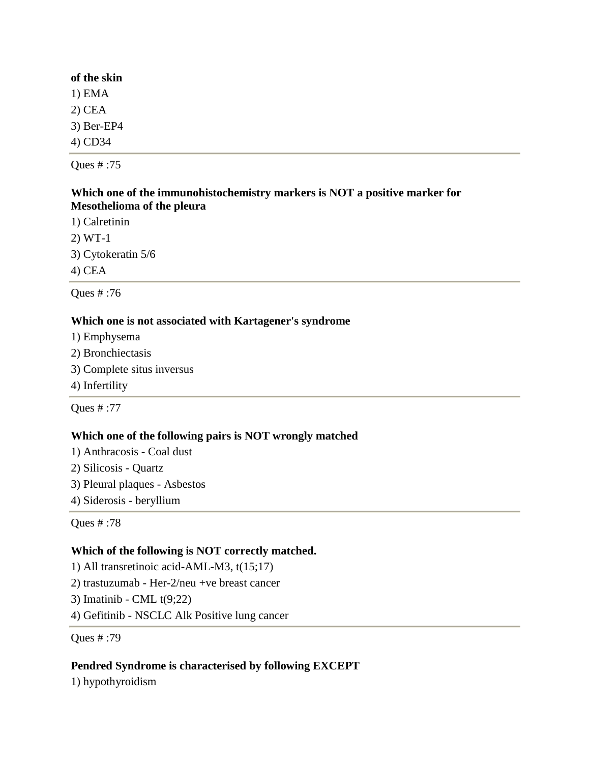#### **of the skin**

1) EMA

2) CEA

3) Ber-EP4

4) CD34

Ques # :75

## **Which one of the immunohistochemistry markers is NOT a positive marker for Mesothelioma of the pleura**

1) Calretinin

2) WT-1

3) Cytokeratin 5/6

4) CEA

Ques # :76

## **Which one is not associated with Kartagener's syndrome**

- 1) Emphysema
- 2) Bronchiectasis
- 3) Complete situs inversus
- 4) Infertility

Ques # :77

# **Which one of the following pairs is NOT wrongly matched**

- 1) Anthracosis Coal dust
- 2) Silicosis Quartz
- 3) Pleural plaques Asbestos
- 4) Siderosis beryllium

Ques # :78

#### **Which of the following is NOT correctly matched.**

1) All transretinoic acid-AML-M3, t(15;17) 2) trastuzumab - Her-2/neu +ve breast cancer 3) Imatinib - CML t(9;22) 4) Gefitinib - NSCLC Alk Positive lung cancer

Ques # :79

# **Pendred Syndrome is characterised by following EXCEPT**

1) hypothyroidism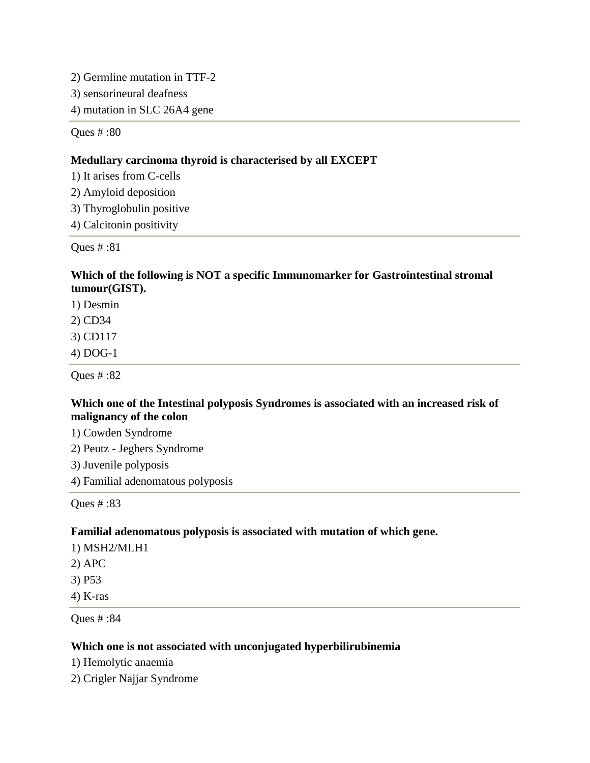2) Germline mutation in TTF-2 3) sensorineural deafness

4) mutation in SLC 26A4 gene

Ques # :80

#### **Medullary carcinoma thyroid is characterised by all EXCEPT**

1) It arises from C-cells

2) Amyloid deposition

3) Thyroglobulin positive

4) Calcitonin positivity

Ques # :81

# **Which of the following is NOT a specific Immunomarker for Gastrointestinal stromal tumour(GIST).**

1) Desmin

2) CD34

3) CD117

4) DOG-1

Ques # :82

#### **Which one of the Intestinal polyposis Syndromes is associated with an increased risk of malignancy of the colon**

1) Cowden Syndrome

2) Peutz - Jeghers Syndrome

3) Juvenile polyposis

4) Familial adenomatous polyposis

Ques # :83

#### **Familial adenomatous polyposis is associated with mutation of which gene.**

1) MSH2/MLH1

2) APC

3) P53

4) K-ras

Ques # :84

#### **Which one is not associated with unconjugated hyperbilirubinemia**

1) Hemolytic anaemia

2) Crigler Najjar Syndrome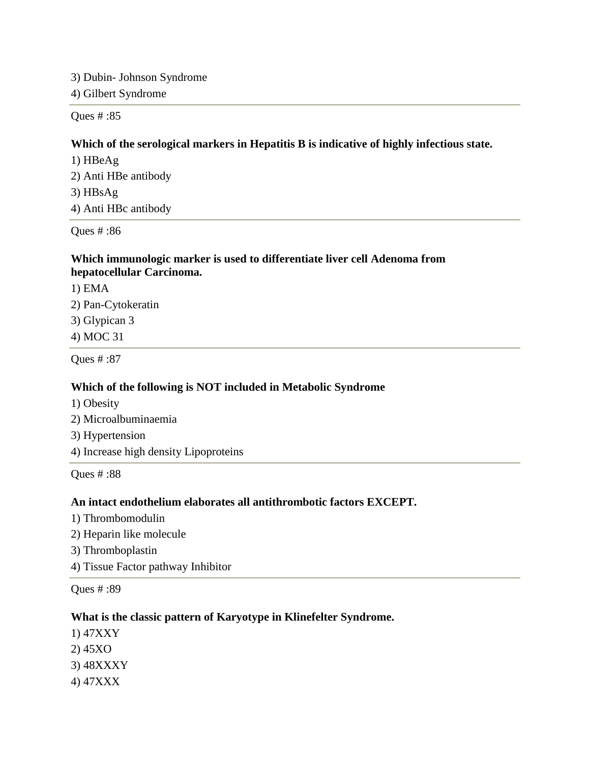3) Dubin- Johnson Syndrome 4) Gilbert Syndrome

Ques # :85

#### **Which of the serological markers in Hepatitis B is indicative of highly infectious state.**

1) HBeAg 2) Anti HBe antibody 3) HBsAg 4) Anti HBc antibody

Ques # :86

#### **Which immunologic marker is used to differentiate liver cell Adenoma from hepatocellular Carcinoma.**

1) EMA 2) Pan-Cytokeratin 3) Glypican 3 4) MOC 31

Ques # :87

#### **Which of the following is NOT included in Metabolic Syndrome**

- 1) Obesity
- 2) Microalbuminaemia
- 3) Hypertension
- 4) Increase high density Lipoproteins

Ques # :88

#### **An intact endothelium elaborates all antithrombotic factors EXCEPT.**

- 1) Thrombomodulin
- 2) Heparin like molecule
- 3) Thromboplastin
- 4) Tissue Factor pathway Inhibitor

Ques # :89

#### **What is the classic pattern of Karyotype in Klinefelter Syndrome.**

- 1) 47XXY
- 2) 45XO
- 3) 48XXXY
- 4) 47XXX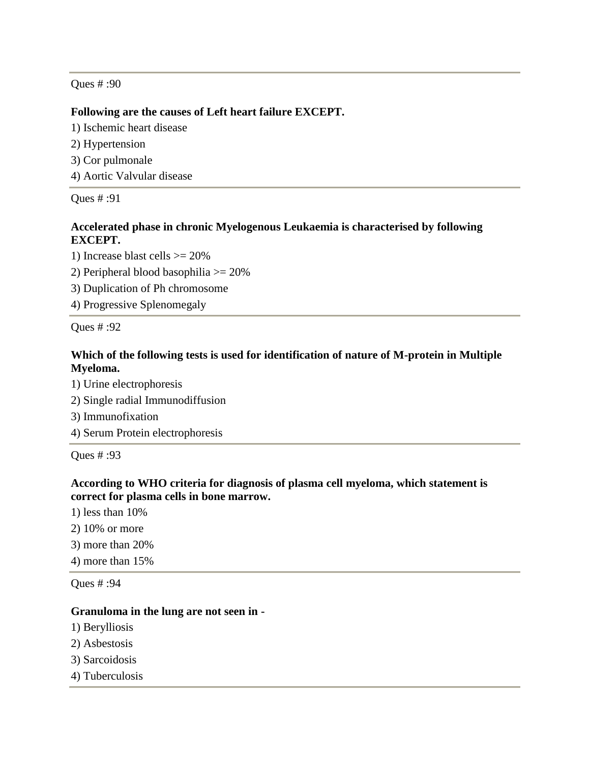## **Following are the causes of Left heart failure EXCEPT.**

1) Ischemic heart disease

- 2) Hypertension
- 3) Cor pulmonale
- 4) Aortic Valvular disease

Ques # :91

## **Accelerated phase in chronic Myelogenous Leukaemia is characterised by following EXCEPT.**

1) Increase blast cells >= 20%

- 2) Peripheral blood basophilia >= 20%
- 3) Duplication of Ph chromosome

4) Progressive Splenomegaly

Ques # :92

# **Which of the following tests is used for identification of nature of M-protein in Multiple Myeloma.**

1) Urine electrophoresis

- 2) Single radial Immunodiffusion
- 3) Immunofixation
- 4) Serum Protein electrophoresis

Ques # :93

**According to WHO criteria for diagnosis of plasma cell myeloma, which statement is correct for plasma cells in bone marrow.**

- 1) less than 10%
- 2) 10% or more
- 3) more than 20%
- 4) more than 15%

Ques # :94

#### **Granuloma in the lung are not seen in -**

- 1) Berylliosis
- 2) Asbestosis
- 3) Sarcoidosis
- 4) Tuberculosis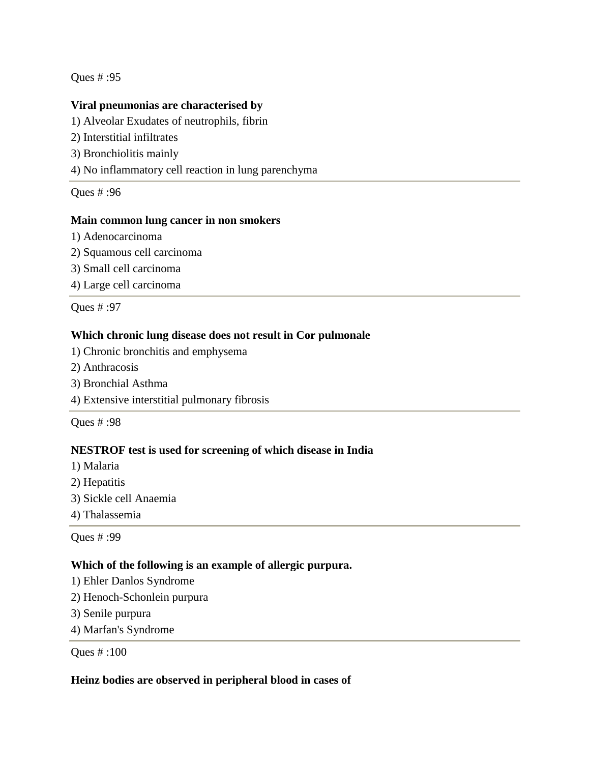#### **Viral pneumonias are characterised by**

- 1) Alveolar Exudates of neutrophils, fibrin
- 2) Interstitial infiltrates
- 3) Bronchiolitis mainly
- 4) No inflammatory cell reaction in lung parenchyma

Ques # :96

## **Main common lung cancer in non smokers**

- 1) Adenocarcinoma
- 2) Squamous cell carcinoma
- 3) Small cell carcinoma
- 4) Large cell carcinoma

Ques # :97

# **Which chronic lung disease does not result in Cor pulmonale**

- 1) Chronic bronchitis and emphysema
- 2) Anthracosis
- 3) Bronchial Asthma
- 4) Extensive interstitial pulmonary fibrosis

Ques # :98

# **NESTROF test is used for screening of which disease in India**

- 1) Malaria
- 2) Hepatitis
- 3) Sickle cell Anaemia
- 4) Thalassemia

Ques # :99

# **Which of the following is an example of allergic purpura.**

- 1) Ehler Danlos Syndrome
- 2) Henoch-Schonlein purpura
- 3) Senile purpura
- 4) Marfan's Syndrome

Ques # :100

#### **Heinz bodies are observed in peripheral blood in cases of**